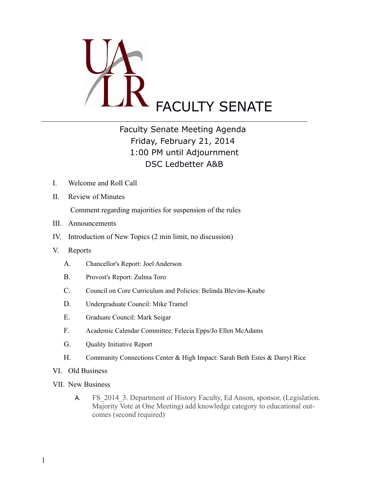

## Faculty Senate Meeting Agenda Friday, February 21, 2014 1:00 PM until Adjournment DSC Ledbetter A&B

- I. Welcome and Roll Call
- II. Review of Minutes

Comment regarding majorities for suspension of the rules

- III. Announcements
- IV. Introduction of New Topics (2 min limit, no discussion)
- V. Reports

 $\overline{a}$ 

- A. Chancellor's Report: Joel Anderson
- B. Provost's Report: Zulma Toro
- C. Council on Core Curriculum and Policies: Belinda Blevins-Knabe
- D. Undergraduate Council: Mike Tramel
- E. Graduate Council: Mark Seigar
- F. Academic Calendar Committee: Felecia Epps/Jo Ellen McAdams
- G. Quality Initiative Report
- H. Community Connections Center & High Impact: Sarah Beth Estes & Darryl Rice
- VI. Old Business
- VII. New Business
	- A. FS 2014 3. Department of History Faculty, Ed Anson, sponsor, (Legislation. Majority Vote at One Meeting) add knowledge category to educational outcomes (second required)